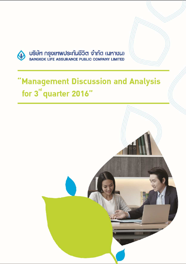

USUM NSVIMWUS=NUUSCO จำกัด (มหาบน)<br>BANGKOK LIFE ASSURANCE PUBLIC COMPANY LIMITED

# "Management Discussion and Analysis for 3<sup>rd</sup> quarter 2016"

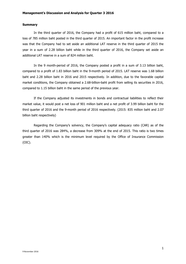## **Summary**

In the third quarter of 2016, the Company had a profit of 615 million baht, compared to a loss of 785 million baht posted in the third quarter of 2015. An important factor in the profit increase was that the Company had to set aside an additional LAT reserve in the third quarter of 2015 the year in a sum of 2.28 billion baht while in the third quarter of 2016, the Company set aside an additional LAT reserve in a sum of 824 million baht.

In the 9 month-period of 2016, the Company posted a profit in a sum of 3.13 billion baht, compared to a profit of 1.83 billion baht in the 9-month period of 2015. LAT reserve was 1.68 billion baht and 2.28 billion baht in 2016 and 2015 respectively. In addition, due to the favorable capital market conditions, the Company obtained a 2.68-billion-baht profit from selling its securities in 2016, compared to 1.15 billion baht in the same period of the previous year.

If the Company adjusted its investments in bonds and contractual liabilities to reflect their market value, it would post a net loss of 901 million baht and a net profit of 3.99 billion baht for the third quarter of 2016 and the 9-month period of 2016 respectively. (2015: 835 million baht and 2.07 billion baht respectively)

Regarding the Company's solvency, the Company's capital adequacy ratio (CAR) as of the third quarter of 2016 was 284%, a decrease from 309% at the end of 2015. This ratio is two times greater than 140% which is the minimum level required by the Office of Insurance Commission (OIC).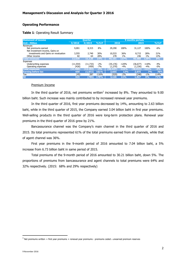# **Operating Performance**

# **Table 1**: Operating Result Summary

| <b>Statement of income</b>           |           | <b>Ouarter</b> |         | <b>9 months periods</b> |         |           |         |       |
|--------------------------------------|-----------|----------------|---------|-------------------------|---------|-----------|---------|-------|
| <b>Unit: Million</b>                 | 3/2016    | 3/2015         | %YoY    | 2016                    |         | 2015      |         | %YoY  |
| Revenues                             |           |                |         |                         |         |           |         |       |
| Net premiums earned                  | 9,001     | 8,315          | 8%      | 29,290                  | 100%    | 31,127    | 100%    | $-6%$ |
| Net investment income, Gains on      |           |                |         |                         |         |           |         |       |
| investments and Gains on revaluation | 3,555     | 2,740          | 30%     | 10,533                  | 36%     | 8,715     | 28%     | 21%   |
| Other income                         | 82        | 64             | 28%     | 278                     | $1\%$   | 246       | $1\%$   | 13%   |
| <b>Total revenues</b>                | 12,639    | 11,120         | 14%     | 40.101                  | 137%    | 40,088    | 129%    | 0%    |
| Expenses                             |           |                |         |                         |         |           |         |       |
| Underwriting expenses                | (11, 554) | (11, 733)      | $-2%$   | (35,176)                | $-120%$ | (36.677)  | $-118%$ | $-4%$ |
| Operating expenses                   | (426)     | (459)          | $-7%$   | (1,270)                 | $-4%$   | (1, 336)  | $-4%$   | $-5%$ |
| <b>Total expenses</b>                | (11,980)  | (12, 192)      | $-2%$   | (36, 447)               | $-124%$ | (38, 013) | $-122%$ | $-4%$ |
| <b>Earning before tax</b>            | 659       | (1,072)        | 161%    | 3,655                   | 12%     | 2,075     | 7%      | 76%   |
| Tax                                  | (45)      | 287            | $-116%$ | (529)                   | $-2%$   | (248)     | $-1\%$  | 114%  |
| <b>NI</b>                            | 615       | (785)          | 178%    | 3,126                   | 11%     | 1,827     | 6%      | 71%   |

# Premium Income

In the third quarter of 2016, net premiums written<sup>1</sup> increased by 8%. They amounted to 9.00 billion baht. Such increase was mainly contributed to by increased renewal year premiums.

In the third quarter of 2016, first year premiums decreased by 14%, amounting to 2.63 billion baht, while in the third quarter of 2015, the Company earned 3.04 billion baht in first year premiums. Well-selling products in the third quarter of 2016 were long-term protection plans. Renewal year premiums in the third quarter of 2016 grew by 21%.

 Bancassurance channel was the Company's main channel in the third quarter of 2016 and 2015. Its total premiums represented 61% of the total premiums earned from all channels, while that of agent channel was 36%.

First year premiums in the 9-month period of 2016 amounted to 7.04 billion baht, a 5% increase from 6.73 billion baht in same period of 2015.

Total premiums of the 9-month period of 2016 amounted to 30.21 billion baht, down 5%. The proportions of premiums from bancassurance and agent channels to total premiums were 64% and 32% respectively. (2015: 68% and 29% respectively)

 $\overline{a}$ 

 $^1$  Net premiums written = first year premiums + renewal year premiums - premiums ceded ± unearned premium reserves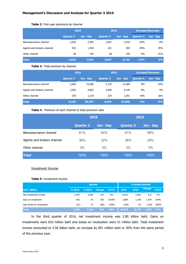|                            | 2016             |           |                  | 2015      | <b>Increase/Decrease</b> |           |  |
|----------------------------|------------------|-----------|------------------|-----------|--------------------------|-----------|--|
|                            | <b>Quarter 3</b> | Jan - Sep | <b>Quarter 3</b> | Jan - Sep | <b>Quarter 3</b>         | Jan - Sep |  |
| Bancassurrance channel     | 2,025            | 5,295     | 2,657            | 5,524     | $-24%$                   | $-4%$     |  |
| Agents and brokers channel | 542              | 1,403     | 321              | 965       | 69%                      | 45%       |  |
| Other channel              | 58               | 345       | 58               | 244       | $0\%$                    | 41%       |  |
| <b>Total</b>               | 2,626            | 7,043     | 3,037            | 6,734     | $-14%$                   | 5%        |  |

## **Table 2**: First year premiums by channel

## **Table 3**: Total premium by channel

|                            | 2016             |           | 2015      |           | <b>Increase/Decrease</b> |           |  |
|----------------------------|------------------|-----------|-----------|-----------|--------------------------|-----------|--|
|                            | <b>Quarter 3</b> | Jan - Sep | Quarter 3 | Jan - Sep | <b>Quarter 3</b>         | Jan - Sep |  |
| Bancassurrance channel     | 5,604            | 19,386    | 5,155     | 21,605    | 9%                       | $-10%$    |  |
| Agents and brokers channel | 3,302            | 9,602     | 3,056     | 9,194     | 8%                       | 4%        |  |
| Other channel              | 259              | 1,219     | 224       | 1,051     | 16%                      | 16%       |  |
| <b>Total</b>               | 9,165            | 30,207    | 8,435     | 31,850    | 9%                       | $-5%$     |  |

# **Table 4** : Premium of each channel to total premium ratio

|                            |                  | 2016      |                  | 2015      |
|----------------------------|------------------|-----------|------------------|-----------|
|                            | <b>Quarter 3</b> | Jan - Sep | <b>Quarter 3</b> | Jan - Sep |
| Bancassurrance channel     | 61%              | 64%       | 61%              | 68%       |
| Agents and brokers channel | 36%              | 32%       | 36%              | 29%       |
| Other channel              | 3%               | 4%        | 3%               | 3%        |
| <b>Total</b>               | 100%             | 100%      | 100%             | 100%      |

# Investment Income

# **Table 5**: Investment income

|                            | <b>Quarter</b> |        |               |         | 9 months periods |       |               |       |
|----------------------------|----------------|--------|---------------|---------|------------------|-------|---------------|-------|
| <b>Unit: Million</b>       | 3/2016         | 3/2015 | <b>Change</b> | %YoY    | 2016             | 2015  | <b>Change</b> | %YoY  |
| Net investment income      | 2,797          | 2,650  | 147           | 6%      | 8.013            | 7,501 | 513           | 7%    |
| Gain on investment         | 810            | 54     | 756           | 1410%   | 2,684            | 1,149 | 1,534         | 134%  |
| Gain (loss) on revaluation | (51)           | 37     | (89)          | $-239%$ | (163)            | 65    | (229)         | -350% |
| <b>Total</b>               | 3,555          | 2,740  | 815           | 30%     | 10,533           | 8,715 | 1.819         | 21%   |

In the third quarter of 2016, net investment income was 2.80 billion baht. Gains on investments were 810 million baht and losses on revaluation were 51 million baht. Total investment income amounted to 3.56 billion baht, an increase by 851 million baht or 30% from the same period of the previous year.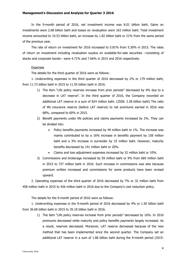# **Management's Discussion and Analysis for Quarter 3 2016**

In the 9-month period of 2016, net investment income was 8.01 billion baht. Gains on investments were 2.68 billion baht and losses on revaluation were 163 million baht. Total investment income amounted to 10.53 billion baht, an increase by 1.82 billion baht or 21% from the same period of the previous year.

The rate of return on investment for 2016 increased to 5.81% from 5.30% in 2015. The rates of return on investment including revaluation surplus on available-for-sale securities --consisting of stocks and corporate bonds-- were 4.71% and 7.66% in 2015 and 2016 respectively.

# Expenses

The details for the third quarter of 2016 were as follows:

1. Underwriting expenses in the third quarter of 2016 decreased by 2% or 179 million baht, from 11.73 billion baht in 2015 to 11.55 billion baht in 2016.

- 1) The item "Life policy reserves increase from prior periods" decreased by 4% due to a decrease in LAT reserve<sup>2</sup>. In the third quarter of 2016, the Company recorded an additional LAT reserve in a sum of 824 million baht. (2558: 2.28 billion baht) The ratio of life insurance reserve (before LAT reserve) to net premiums earned in 2016 was 68%, compared to 60% in 2015.
- 2) Benefit payments under life policies and claims payments increased by 2%. They can be divided into:
	- Policy benefits payments increased by 49 million baht or 1%. The increase was mainly contributed to by a 16% increase in benefits payment by 158 million baht and a 3% increase in surrender by 33 million baht. However, maturity benefits decreased by 141 million baht or 20%.
	- Claims and loss adjustment expenses increased by 32 million baht or 10%.
- 3) Commissions and brokerage increased by 59 million baht or 9% from 669 million baht in 2015 to 727 million baht in 2016. Such increase in commissions was also because premium written increased and commissions for some products have been revised upward.

2. Operating expenses of the third quarter of 2016 decreased by 7% or 32 million baht from 458 million baht in 2015 to 426 million baht in 2016 due to the Company's cost reduction policy.

The details for the 9-month period of 2016 were as follows:

1. Underwriting expenses in the 9-month period of 2016 decreased by 4% or 1.50 billion baht from 36.68 billion baht in 2015 to 35.18 billion baht in 2016.

1) The item "Life policy reserves increase from prior periods" decreased by 16%. In 2016 premiums decreased while maturity and policy benefits payments largely increased. As a result, reserves decreased. Moreover, LAT reserve decreased because of the new method that has been implemented since the second quarter. The Company set an additional LAT reserve in a sum of 1.68 billion baht during the 9-month period (2015: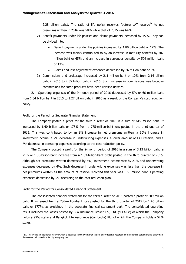2.28 billion baht). The ratio of life policy reserves (before LAT reserve<sup>2</sup>) to net premiums written in 2016 was 58% while that of 2015 was 64%.

- 2) Benefit payments under life policies and claims payments increased by 15%. They can be divided into:
	- Benefit payments under life policies increased by 1.80 billion baht or 17%. The increase was mainly contributed to by an increase in maturity benefits by 707 million baht or 45% and an increase in surrender benefits by 504 million baht or 13%
	- Claims and loss adjustment expenses decreased by 26 million baht or 3%.
- 3) Commissions and brokerage increased by 211 million baht or 10% from 2.14 billion baht in 2015 to 2.35 billion baht in 2016. Such increase in commissions was because commissions for some products have been revised upward.

2. Operating expenses of the 9-month period of 2016 decreased by 5% or 66 million baht from 1.34 billion baht in 2015 to 1.27 billion baht in 2016 as a result of the Company's cost reduction policy.

# Profit for the Period for Separate Financial Statement

The Company posted a profit for the third quarter of 2016 in a sum of 615 million baht. It increased by 1.40 billion baht or 178% from a 785-million-baht loss posted in the third quarter of 2015. This was contributed to by an 8% increase in net premiums written, a 30% increase in investment income, a 2% decrease in underwriting expenses, a lower amount of LAT reserve, and a 7% decrease in operating expenses according to the cost reduction policy.

The Company posted a profit for the 9-month period of 2016 in a sum of 3.13 billion baht, a 71% or 1.30-billion-baht increase from a 1.83-billion-baht profit posted in the third quarter of 2015. Although net premiums written decreased by 6%, investment income rose by 21% and underwriting expenses decreased by 4%. Such decrease in underwriting expenses was less than the decrease in net premiums written as the amount of reserve recorded this year was 1.68 million baht. Operating expenses decreased by 5% according to the cost reduction plan.

## Profit for the Period for Consolidated Financial Statement

The consolidated financial statement for the third quarter of 2016 posted a profit of 609 million baht. It increased from a 786-million-baht loss posted for the third quarter of 2015 by 1.40 billion baht or 177%, as explained in the separate financial statement part. The consolidated operating result included the losses posted by BLA Insurance Broker Co., Ltd. ("BLAIB") of which the Company holds a 99% stake and Bangkok Life Assurance (Cambodia) Plc. of which the Company holds a 52% stake.

l

 $^2$  LAT reserve is an additional reserve which is set aside in the event that the life policy reserve recorded in the financial statements is lower than the reserve calculated for liability adequacy test.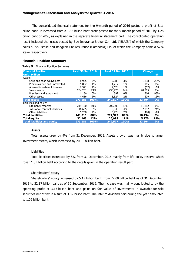The consolidated financial statement for the 9-month period of 2016 posted a profit of 3.11 billion baht. It increased from a 1.82-billion-baht profit posted for the 9-month period of 2015 by 1.28 billion baht or 70%, as explained in the separate financial statement part. The consolidated operating result included the losses posted by BLA Insurance Broker Co., Ltd. ("BLAIB") of which the Company holds a 99% stake and Bangkok Life Assurance (Cambodia) Plc. of which the Company holds a 52% stake respectively.

# **Financial Position Summary**

#### **Table 5** : Financial Position Summary

| <b>Financial Position</b>           | As at 30 Sep 2016 |       | As at 31 Dec 2015 |       | <b>Change</b> |               |
|-------------------------------------|-------------------|-------|-------------------|-------|---------------|---------------|
| <b>Unit: Million</b>                |                   |       |                   |       |               | $\frac{9}{6}$ |
| Assets                              |                   |       |                   |       |               |               |
| Cash and cash equivalents           | 8,925             | 3%    | 7,088             | 3%    | 1,838         | 26%           |
| Premiums due and uncollected        | 1,862             | $1\%$ | 1,717             | 1%    | 145           | 8%            |
| Accrued investment incomes          | 2,571             | $1\%$ | 2,628             | $1\%$ | (57)          | $-2%$         |
| Investments                         | 254,231           | 93%   | 233,726           | 94%   | 20,505        | 9%            |
| Premises and equipment              | 1,156             | 0%    | 592               | $0\%$ | 564           | 95%           |
| Other assets                        | 4,436             | 2%    | 3,827             | 2%    | 609           | 16%           |
| <b>Total assets</b>                 | 273,181           | 100%  | 249,577           | 100%  | 23,604        | 9%            |
| Liabilities and equity              |                   |       |                   |       |               |               |
| Life policy reserves                | 219,120           | 80%   | 207,308           | 83%   | 11,812        | 6%            |
| Insurance contract liabilities      | 16,635            | 6%    | 9,543             | 4%    | 7,092         | 74%           |
| Other liabilities                   | 5,258             | 2%    | 5,728             | 2%    | (470)         | $-8%$         |
| <b>Total liabilities</b>            | 241,013           | 88%   | 222,579           | 89%   | 18,434        | 8%            |
| <b>Total equity</b>                 | 32,168            | 12%   | 26,998            | 11%   | 5,170         | 19%           |
| <b>Total liabilities and equity</b> | 273,181           | 100%  | 249,577           | 100%  | 23,604        | 9%            |

# Assets

Total assets grew by 9% from 31 December, 2015. Assets growth was mainly due to larger investment assets, which increased by 20.51 billion baht.

## **Liabilities**

Total liabilities increased by 8% from 31 December, 2015 mainly from life policy reserve which rose 11.81 billion baht according to the details given in the operating result part.

# Shareholders' Equity

Shareholders' equity increased by 5.17 billion baht, from 27.00 billion baht as of 31 December, 2015 to 32.17 billion baht as of 30 September, 2016. The increase was mainly contributed to by the operating profit of 3.13 billion baht and gains on fair value of investments in available-for-sale securities net of tax in a sum of 3.02 billion baht. The interim dividend paid during the year amounted to 1.09 billion baht.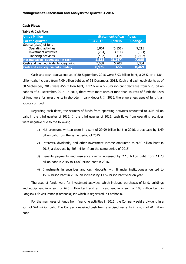# **Cash Flows**

**Table 6**: Cash Flows

| <b>Unit: Million</b>                     | <b>Statement of cash flows</b> |          |               |  |  |
|------------------------------------------|--------------------------------|----------|---------------|--|--|
| For the quarter                          | 3/2016                         | 3/2015   | <b>Change</b> |  |  |
| Source (used) of fund                    |                                |          |               |  |  |
| Operating activities                     | 3,064                          | (6, 151) | 9,215         |  |  |
| Investment activities                    | (734)                          | (211)    | (523)         |  |  |
| Financing activities                     | (492)                          | 1,114    | (1,607)       |  |  |
| Net increased (decreased) in cash        | 1,838                          | (5, 247) | 7,085         |  |  |
| Cash and cash equivalents -beginning     | 7,088                          | 5,703    | 1,384         |  |  |
| <b>Cash and cash equivalents -ending</b> | 8,925                          | 456      | 8,469         |  |  |

Cash and cash equivalents as of 30 September, 2016 were 8.93 billion baht, a 26% or a 1.84 billion-baht increase from 7.09 billion baht as of 31 December, 2015. Cash and cash equivalents as of 30 September, 2015 were 456 million baht, a 92% or a 5.25-billion-baht decrease from 5.70 billion baht as of 31 December, 2014. In 2015, there were more uses of fund than sources of fund; the uses of fund were for investments in short-term bank deposit. In 2016, there were less uses of fund than sources of fund.

Regarding cash flows, the sources of funds from operating activities amounted to 3.06 billion baht in the third quarter of 2016. In the third quarter of 2015, cash flows from operating activities were negative due to the following:

- 1) Net premiums written were in a sum of 29.99 billion baht in 2016, a decrease by 1.49 billion baht from the same period of 2015.
- 2) Interests, dividends, and other investment income amounted to 9.80 billion baht in 2016, a decrease by 203 million from the same period of 2015.
- 3) Benefits payments and insurance claims increased by 2.16 billion baht from 11.73 billion baht in 2015 to 13.89 billion baht in 2016.
- 4) Investments in securities and cash deposits with financial institutions amounted to 15.82 billion baht in 2016, an increase by 13.52 billion baht year on year.

The uses of funds were for investment activities which included purchases of land, buildings and equipment in a sum of 625 million baht and an investment in a sum of 108 million baht in Bangkok Life Assurance (Cambodia) Plc which is registered in Cambodia.

For the main uses of funds from financing activities in 2016, the Company paid a dividend in a sum of 544 million baht. The Company received cash from exercised warrants in a sum of 41 million baht.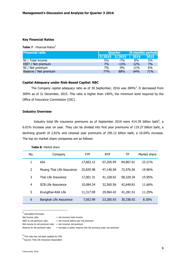# **Key Financial Ratios**

**Table 7** : Financial Ratios<sup>3</sup>

| <b>Financial ratio</b> |     | <b>Ouarter</b> | 9 months periods |            |  |
|------------------------|-----|----------------|------------------|------------|--|
|                        |     | 3/2016 3/2015  | 2016             | 2015       |  |
| NI / Total income      | 5%  | $-7%$          | 8%               | 5%         |  |
| EBIT / Net premium     | 7%  | $-1.3%$        | <b>12%</b>       | 7%         |  |
| NI / Net premium       | 7%  | $-9%$          | 11 <sub>%</sub>  | 6%         |  |
| Reserve / Net premium  | 77% | 88%            | 64%              | <b>71%</b> |  |

# **Capital Adequacy under Risk-Based Capital: RBC**

The Company capital adequacy ratio as of 30 September, 2016 was 284%<sup>4</sup>. It decreased from 309% as of 31 December, 2015. This ratio is higher than 140%, the minimum level required by the Office of Insurance Commission (OIC).

# **Industry Overview**

Industry total life insurance premiums as of September 2016 were 414.39 billion baht<sup>5</sup>, a 6.01% increase year on year. They can be divided into first year premiums of 119.27 billion baht, a declining growth of 2.81% and renewal year premiums of 295.12 billion baht, a 10.04% increase. The top six market share companies are as follows:

| No. | Company                   | <b>FYP</b> | <b>RYP</b> | ТP        | Market share |
|-----|---------------------------|------------|------------|-----------|--------------|
| 1   | AIA                       | 17,662.12  | 67,205.49  | 84,867.61 | 23.21%       |
| 2   | Muang Thai Life Assurance | 25,835.98  | 47,140.58  | 72,976.56 | 19.96%       |
| 3   | Thai Life Insurance       | 17,001.31  | 41,328.02  | 58,329.34 | 15.95%       |
| 4   | <b>SCB Life Assurance</b> | 10,084.24  | 32,565.56  | 42,649.81 | 11.66%       |
| 5   | Krungthai-AXA Life        | 11,317.09  | 29,964.42  | 41,281.51 | 11.29%       |
| 6   | Bangkok Life Assurance    | 7,052.99   | 23,285.93  | 30,338.92 | 8.30%        |

## **Table 8**: Market share

<sup>3</sup> Calculation formulas:

l

Net income to net premium ratio = net income/ net premium

<sup>4</sup> This ratio has not been audited by CPA.

Net income ratio  $=$  net income/ total income

EBIT to net premium ratio  $=$  net income before tax/ net premium

Reserve to net premium ratio  $=$  increase in policy reserve over the previous year/ net premium

<sup>&</sup>lt;sup>5</sup> Source: Thai Life Insurance Association